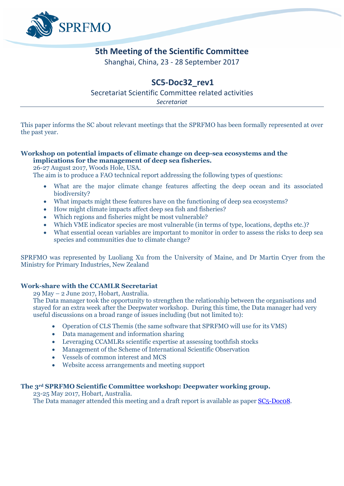

## **5th Meeting of the Scientific Committee**

Shanghai, China, 23 - 28 September 2017

# **SC5-Doc32\_rev1**

Secretariat Scientific Committee related activities *Secretariat*

This paper informs the SC about relevant meetings that the SPRFMO has been formally represented at over the past year.

### **Workshop on potential impacts of climate change on deep-sea ecosystems and the implications for the management of deep sea fisheries.**

26-27 August 2017, Woods Hole, USA.

The aim is to produce a FAO technical report addressing the following types of questions:

- What are the major climate change features affecting the deep ocean and its associated biodiversity?
- What impacts might these features have on the functioning of deep sea ecosystems?
- How might climate impacts affect deep sea fish and fisheries?
- Which regions and fisheries might be most vulnerable?
- Which VME indicator species are most vulnerable (in terms of type, locations, depths etc.)?
- What essential ocean variables are important to monitor in order to assess the risks to deep sea species and communities due to climate change?

SPRFMO was represented by Luoliang Xu from the University of Maine, and Dr Martin Cryer from the Ministry for Primary Industries, New Zealand

## **Work-share with the CCAMLR Secretariat**

29 May – 2 June 2017, Hobart, Australia.

The Data manager took the opportunity to strengthen the relationship between the organisations and stayed for an extra week after the Deepwater workshop. During this time, the Data manager had very useful discussions on a broad range of issues including (but not limited to):

- Operation of CLS Themis (the same software that SPRFMO will use for its VMS)
- Data management and information sharing
- Leveraging CCAMLRs scientific expertise at assessing toothfish stocks
- Management of the Scheme of International Scientific Observation
- Vessels of common interest and MCS
- Website access arrangements and meeting support

#### **The 3rd SPRFMO Scientific Committee workshop: Deepwater working group.**

23-25 May 2017, Hobart, Australia. The Data manager attended this meeting and a draft report is available as paper SC<sub>5</sub>-Doco8.